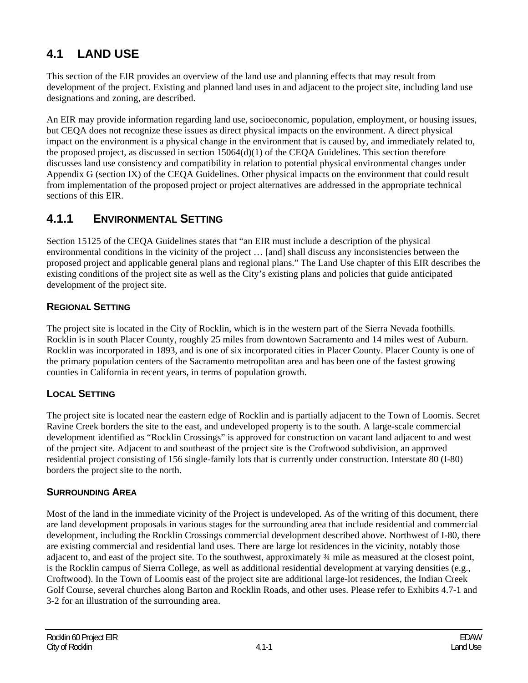# **4.1 LAND USE**

This section of the EIR provides an overview of the land use and planning effects that may result from development of the project. Existing and planned land uses in and adjacent to the project site, including land use designations and zoning, are described.

An EIR may provide information regarding land use, socioeconomic, population, employment, or housing issues, but CEQA does not recognize these issues as direct physical impacts on the environment. A direct physical impact on the environment is a physical change in the environment that is caused by, and immediately related to, the proposed project, as discussed in section  $15064(d)(1)$  of the CEQA Guidelines. This section therefore discusses land use consistency and compatibility in relation to potential physical environmental changes under Appendix G (section IX) of the CEQA Guidelines. Other physical impacts on the environment that could result from implementation of the proposed project or project alternatives are addressed in the appropriate technical sections of this EIR.

# **4.1.1 ENVIRONMENTAL SETTING**

Section 15125 of the CEQA Guidelines states that "an EIR must include a description of the physical environmental conditions in the vicinity of the project … [and] shall discuss any inconsistencies between the proposed project and applicable general plans and regional plans." The Land Use chapter of this EIR describes the existing conditions of the project site as well as the City's existing plans and policies that guide anticipated development of the project site.

## **REGIONAL SETTING**

The project site is located in the City of Rocklin, which is in the western part of the Sierra Nevada foothills. Rocklin is in south Placer County, roughly 25 miles from downtown Sacramento and 14 miles west of Auburn. Rocklin was incorporated in 1893, and is one of six incorporated cities in Placer County. Placer County is one of the primary population centers of the Sacramento metropolitan area and has been one of the fastest growing counties in California in recent years, in terms of population growth.

## **LOCAL SETTING**

The project site is located near the eastern edge of Rocklin and is partially adjacent to the Town of Loomis. Secret Ravine Creek borders the site to the east, and undeveloped property is to the south. A large-scale commercial development identified as "Rocklin Crossings" is approved for construction on vacant land adjacent to and west of the project site. Adjacent to and southeast of the project site is the Croftwood subdivision, an approved residential project consisting of 156 single-family lots that is currently under construction. Interstate 80 (I-80) borders the project site to the north.

#### **SURROUNDING AREA**

Most of the land in the immediate vicinity of the Project is undeveloped. As of the writing of this document, there are land development proposals in various stages for the surrounding area that include residential and commercial development, including the Rocklin Crossings commercial development described above. Northwest of I-80, there are existing commercial and residential land uses. There are large lot residences in the vicinity, notably those adjacent to, and east of the project site. To the southwest, approximately ¾ mile as measured at the closest point, is the Rocklin campus of Sierra College, as well as additional residential development at varying densities (e.g., Croftwood). In the Town of Loomis east of the project site are additional large-lot residences, the Indian Creek Golf Course, several churches along Barton and Rocklin Roads, and other uses. Please refer to Exhibits 4.7-1 and 3-2 for an illustration of the surrounding area.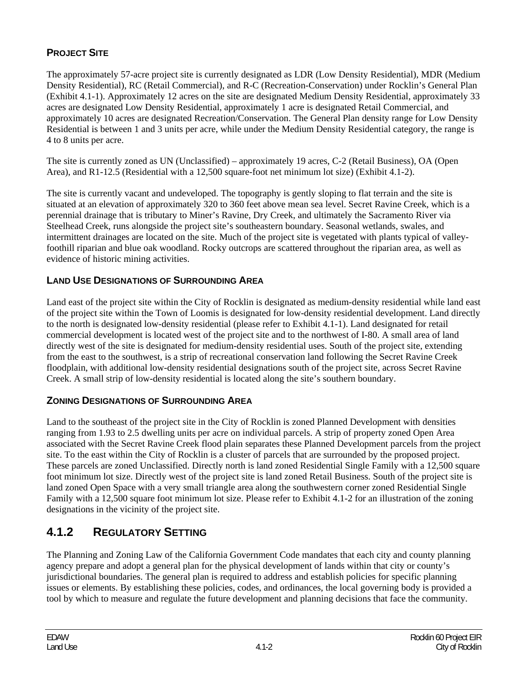# **PROJECT SITE**

The approximately 57-acre project site is currently designated as LDR (Low Density Residential), MDR (Medium Density Residential), RC (Retail Commercial), and R-C (Recreation-Conservation) under Rocklin's General Plan (Exhibit 4.1-1). Approximately 12 acres on the site are designated Medium Density Residential, approximately 33 acres are designated Low Density Residential, approximately 1 acre is designated Retail Commercial, and approximately 10 acres are designated Recreation/Conservation. The General Plan density range for Low Density Residential is between 1 and 3 units per acre, while under the Medium Density Residential category, the range is 4 to 8 units per acre.

The site is currently zoned as UN (Unclassified) – approximately 19 acres, C-2 (Retail Business), OA (Open Area), and R1-12.5 (Residential with a 12,500 square-foot net minimum lot size) (Exhibit 4.1-2).

The site is currently vacant and undeveloped. The topography is gently sloping to flat terrain and the site is situated at an elevation of approximately 320 to 360 feet above mean sea level. Secret Ravine Creek, which is a perennial drainage that is tributary to Miner's Ravine, Dry Creek, and ultimately the Sacramento River via Steelhead Creek, runs alongside the project site's southeastern boundary. Seasonal wetlands, swales, and intermittent drainages are located on the site. Much of the project site is vegetated with plants typical of valleyfoothill riparian and blue oak woodland. Rocky outcrops are scattered throughout the riparian area, as well as evidence of historic mining activities.

# **LAND USE DESIGNATIONS OF SURROUNDING AREA**

Land east of the project site within the City of Rocklin is designated as medium-density residential while land east of the project site within the Town of Loomis is designated for low-density residential development. Land directly to the north is designated low-density residential (please refer to Exhibit 4.1-1). Land designated for retail commercial development is located west of the project site and to the northwest of I-80. A small area of land directly west of the site is designated for medium-density residential uses. South of the project site, extending from the east to the southwest, is a strip of recreational conservation land following the Secret Ravine Creek floodplain, with additional low-density residential designations south of the project site, across Secret Ravine Creek. A small strip of low-density residential is located along the site's southern boundary.

## **ZONING DESIGNATIONS OF SURROUNDING AREA**

Land to the southeast of the project site in the City of Rocklin is zoned Planned Development with densities ranging from 1.93 to 2.5 dwelling units per acre on individual parcels. A strip of property zoned Open Area associated with the Secret Ravine Creek flood plain separates these Planned Development parcels from the project site. To the east within the City of Rocklin is a cluster of parcels that are surrounded by the proposed project. These parcels are zoned Unclassified. Directly north is land zoned Residential Single Family with a 12,500 square foot minimum lot size. Directly west of the project site is land zoned Retail Business. South of the project site is land zoned Open Space with a very small triangle area along the southwestern corner zoned Residential Single Family with a 12,500 square foot minimum lot size. Please refer to Exhibit 4.1-2 for an illustration of the zoning designations in the vicinity of the project site.

# **4.1.2 REGULATORY SETTING**

The Planning and Zoning Law of the California Government Code mandates that each city and county planning agency prepare and adopt a general plan for the physical development of lands within that city or county's jurisdictional boundaries. The general plan is required to address and establish policies for specific planning issues or elements. By establishing these policies, codes, and ordinances, the local governing body is provided a tool by which to measure and regulate the future development and planning decisions that face the community.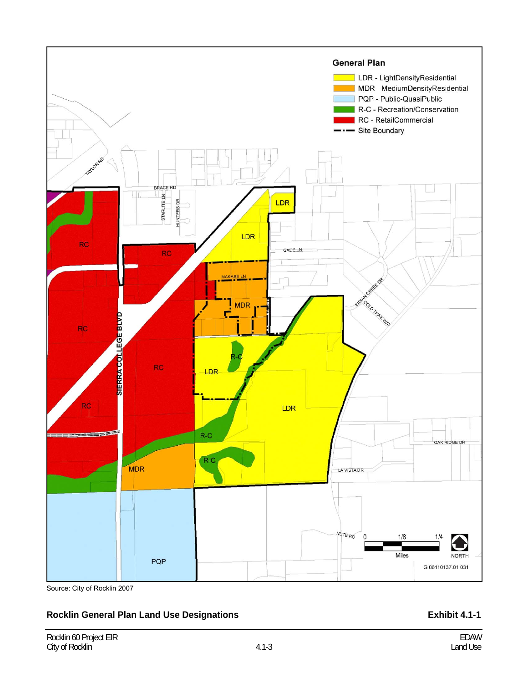

Source: City of Rocklin 2007

#### Rocklin General Plan Land Use Designations **Exhibit 4.1-1 Exhibit 4.1-1**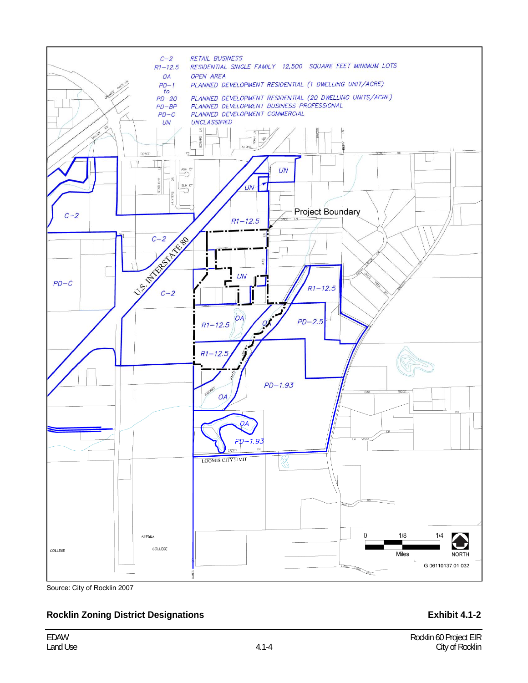

Source: City of Rocklin 2007

#### **Rocklin Zoning District Designations <b>Exhibit 4.1-2 Exhibit 4.1-2**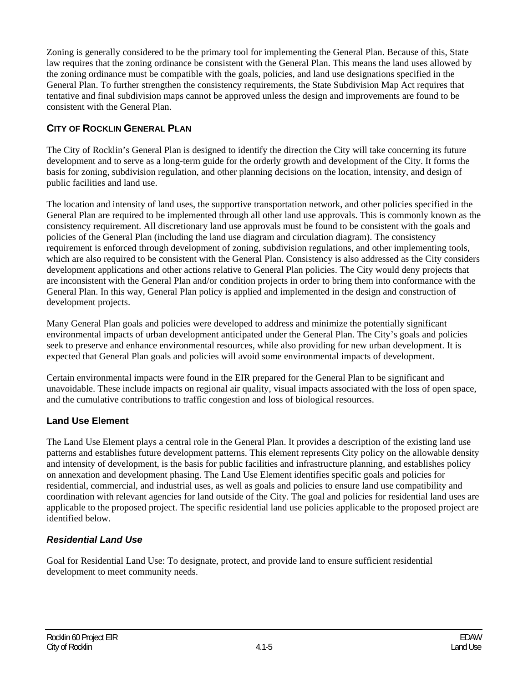Zoning is generally considered to be the primary tool for implementing the General Plan. Because of this, State law requires that the zoning ordinance be consistent with the General Plan. This means the land uses allowed by the zoning ordinance must be compatible with the goals, policies, and land use designations specified in the General Plan. To further strengthen the consistency requirements, the State Subdivision Map Act requires that tentative and final subdivision maps cannot be approved unless the design and improvements are found to be consistent with the General Plan.

## **CITY OF ROCKLIN GENERAL PLAN**

The City of Rocklin's General Plan is designed to identify the direction the City will take concerning its future development and to serve as a long-term guide for the orderly growth and development of the City. It forms the basis for zoning, subdivision regulation, and other planning decisions on the location, intensity, and design of public facilities and land use.

The location and intensity of land uses, the supportive transportation network, and other policies specified in the General Plan are required to be implemented through all other land use approvals. This is commonly known as the consistency requirement. All discretionary land use approvals must be found to be consistent with the goals and policies of the General Plan (including the land use diagram and circulation diagram). The consistency requirement is enforced through development of zoning, subdivision regulations, and other implementing tools, which are also required to be consistent with the General Plan. Consistency is also addressed as the City considers development applications and other actions relative to General Plan policies. The City would deny projects that are inconsistent with the General Plan and/or condition projects in order to bring them into conformance with the General Plan. In this way, General Plan policy is applied and implemented in the design and construction of development projects.

Many General Plan goals and policies were developed to address and minimize the potentially significant environmental impacts of urban development anticipated under the General Plan. The City's goals and policies seek to preserve and enhance environmental resources, while also providing for new urban development. It is expected that General Plan goals and policies will avoid some environmental impacts of development.

Certain environmental impacts were found in the EIR prepared for the General Plan to be significant and unavoidable. These include impacts on regional air quality, visual impacts associated with the loss of open space, and the cumulative contributions to traffic congestion and loss of biological resources.

## **Land Use Element**

The Land Use Element plays a central role in the General Plan. It provides a description of the existing land use patterns and establishes future development patterns. This element represents City policy on the allowable density and intensity of development, is the basis for public facilities and infrastructure planning, and establishes policy on annexation and development phasing. The Land Use Element identifies specific goals and policies for residential, commercial, and industrial uses, as well as goals and policies to ensure land use compatibility and coordination with relevant agencies for land outside of the City. The goal and policies for residential land uses are applicable to the proposed project. The specific residential land use policies applicable to the proposed project are identified below.

## *Residential Land Use*

Goal for Residential Land Use: To designate, protect, and provide land to ensure sufficient residential development to meet community needs.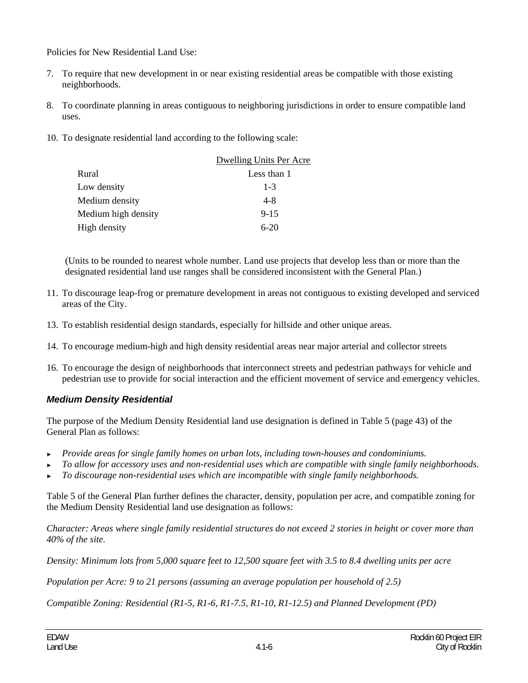Policies for New Residential Land Use:

- 7. To require that new development in or near existing residential areas be compatible with those existing neighborhoods.
- 8. To coordinate planning in areas contiguous to neighboring jurisdictions in order to ensure compatible land uses.
- 10. To designate residential land according to the following scale:

|                     | Dwelling Units Per Acre |
|---------------------|-------------------------|
| Rural               | Less than 1             |
| Low density         | $1 - 3$                 |
| Medium density      | $4 - 8$                 |
| Medium high density | $9 - 15$                |
| High density        | $6-20$                  |

(Units to be rounded to nearest whole number. Land use projects that develop less than or more than the designated residential land use ranges shall be considered inconsistent with the General Plan.)

- 11. To discourage leap-frog or premature development in areas not contiguous to existing developed and serviced areas of the City.
- 13. To establish residential design standards, especially for hillside and other unique areas.
- 14. To encourage medium-high and high density residential areas near major arterial and collector streets
- 16. To encourage the design of neighborhoods that interconnect streets and pedestrian pathways for vehicle and pedestrian use to provide for social interaction and the efficient movement of service and emergency vehicles.

#### *Medium Density Residential*

The purpose of the Medium Density Residential land use designation is defined in Table 5 (page 43) of the General Plan as follows:

- ► *Provide areas for single family homes on urban lots, including town-houses and condominiums.*
- ► *To allow for accessory uses and non-residential uses which are compatible with single family neighborhoods.*
- ► *To discourage non-residential uses which are incompatible with single family neighborhoods.*

Table 5 of the General Plan further defines the character, density, population per acre, and compatible zoning for the Medium Density Residential land use designation as follows:

*Character: Areas where single family residential structures do not exceed 2 stories in height or cover more than 40% of the site.* 

*Density: Minimum lots from 5,000 square feet to 12,500 square feet with 3.5 to 8.4 dwelling units per acre* 

*Population per Acre: 9 to 21 persons (assuming an average population per household of 2.5)* 

*Compatible Zoning: Residential (R1-5, R1-6, R1-7.5, R1-10, R1-12.5) and Planned Development (PD)*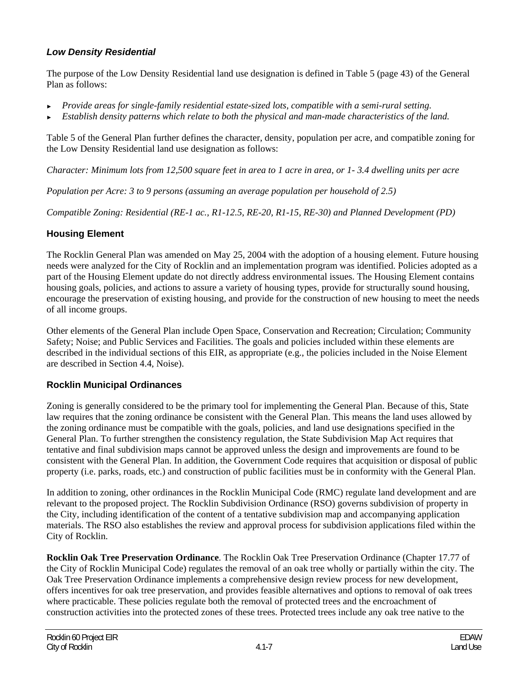### *Low Density Residential*

The purpose of the Low Density Residential land use designation is defined in Table 5 (page 43) of the General Plan as follows:

- ► *Provide areas for single-family residential estate-sized lots, compatible with a semi-rural setting.*
- ► *Establish density patterns which relate to both the physical and man-made characteristics of the land.*

Table 5 of the General Plan further defines the character, density, population per acre, and compatible zoning for the Low Density Residential land use designation as follows:

*Character: Minimum lots from 12,500 square feet in area to 1 acre in area, or 1- 3.4 dwelling units per acre* 

*Population per Acre: 3 to 9 persons (assuming an average population per household of 2.5)* 

*Compatible Zoning: Residential (RE-1 ac., R1-12.5, RE-20, R1-15, RE-30) and Planned Development (PD)* 

## **Housing Element**

The Rocklin General Plan was amended on May 25, 2004 with the adoption of a housing element. Future housing needs were analyzed for the City of Rocklin and an implementation program was identified. Policies adopted as a part of the Housing Element update do not directly address environmental issues. The Housing Element contains housing goals, policies, and actions to assure a variety of housing types, provide for structurally sound housing, encourage the preservation of existing housing, and provide for the construction of new housing to meet the needs of all income groups.

Other elements of the General Plan include Open Space, Conservation and Recreation; Circulation; Community Safety; Noise; and Public Services and Facilities. The goals and policies included within these elements are described in the individual sections of this EIR, as appropriate (e.g., the policies included in the Noise Element are described in Section 4.4, Noise).

#### **Rocklin Municipal Ordinances**

Zoning is generally considered to be the primary tool for implementing the General Plan. Because of this, State law requires that the zoning ordinance be consistent with the General Plan. This means the land uses allowed by the zoning ordinance must be compatible with the goals, policies, and land use designations specified in the General Plan. To further strengthen the consistency regulation, the State Subdivision Map Act requires that tentative and final subdivision maps cannot be approved unless the design and improvements are found to be consistent with the General Plan. In addition, the Government Code requires that acquisition or disposal of public property (i.e. parks, roads, etc.) and construction of public facilities must be in conformity with the General Plan.

In addition to zoning, other ordinances in the Rocklin Municipal Code (RMC) regulate land development and are relevant to the proposed project. The Rocklin Subdivision Ordinance (RSO) governs subdivision of property in the City, including identification of the content of a tentative subdivision map and accompanying application materials. The RSO also establishes the review and approval process for subdivision applications filed within the City of Rocklin.

**Rocklin Oak Tree Preservation Ordinance**. The Rocklin Oak Tree Preservation Ordinance (Chapter 17.77 of the City of Rocklin Municipal Code) regulates the removal of an oak tree wholly or partially within the city. The Oak Tree Preservation Ordinance implements a comprehensive design review process for new development, offers incentives for oak tree preservation, and provides feasible alternatives and options to removal of oak trees where practicable. These policies regulate both the removal of protected trees and the encroachment of construction activities into the protected zones of these trees. Protected trees include any oak tree native to the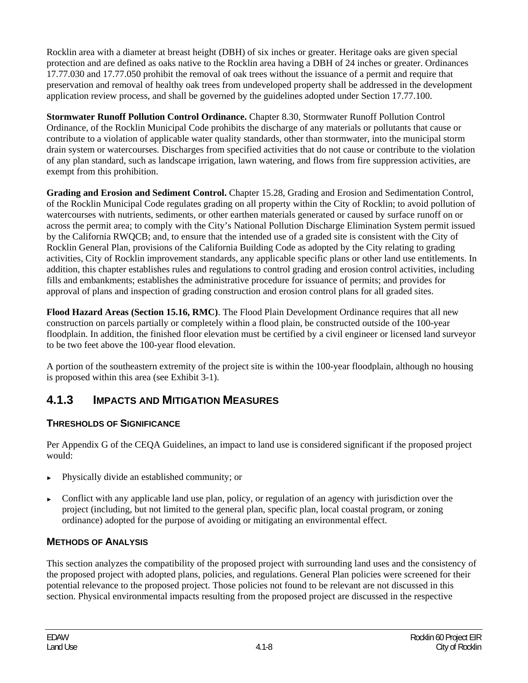Rocklin area with a diameter at breast height (DBH) of six inches or greater. Heritage oaks are given special protection and are defined as oaks native to the Rocklin area having a DBH of 24 inches or greater. Ordinances 17.77.030 and 17.77.050 prohibit the removal of oak trees without the issuance of a permit and require that preservation and removal of healthy oak trees from undeveloped property shall be addressed in the development application review process, and shall be governed by the guidelines adopted under Section 17.77.100.

**Stormwater Runoff Pollution Control Ordinance.** Chapter 8.30, Stormwater Runoff Pollution Control Ordinance, of the Rocklin Municipal Code prohibits the discharge of any materials or pollutants that cause or contribute to a violation of applicable water quality standards, other than stormwater, into the municipal storm drain system or watercourses. Discharges from specified activities that do not cause or contribute to the violation of any plan standard, such as landscape irrigation, lawn watering, and flows from fire suppression activities, are exempt from this prohibition.

**Grading and Erosion and Sediment Control.** Chapter 15.28, Grading and Erosion and Sedimentation Control, of the Rocklin Municipal Code regulates grading on all property within the City of Rocklin; to avoid pollution of watercourses with nutrients, sediments, or other earthen materials generated or caused by surface runoff on or across the permit area; to comply with the City's National Pollution Discharge Elimination System permit issued by the California RWQCB; and, to ensure that the intended use of a graded site is consistent with the City of Rocklin General Plan, provisions of the California Building Code as adopted by the City relating to grading activities, City of Rocklin improvement standards, any applicable specific plans or other land use entitlements. In addition, this chapter establishes rules and regulations to control grading and erosion control activities, including fills and embankments; establishes the administrative procedure for issuance of permits; and provides for approval of plans and inspection of grading construction and erosion control plans for all graded sites.

**Flood Hazard Areas (Section 15.16, RMC)**. The Flood Plain Development Ordinance requires that all new construction on parcels partially or completely within a flood plain, be constructed outside of the 100-year floodplain. In addition, the finished floor elevation must be certified by a civil engineer or licensed land surveyor to be two feet above the 100-year flood elevation.

A portion of the southeastern extremity of the project site is within the 100-year floodplain, although no housing is proposed within this area (see Exhibit 3-1).

# **4.1.3 IMPACTS AND MITIGATION MEASURES**

# **THRESHOLDS OF SIGNIFICANCE**

Per Appendix G of the CEQA Guidelines, an impact to land use is considered significant if the proposed project would:

- ► Physically divide an established community; or
- Conflict with any applicable land use plan, policy, or regulation of an agency with jurisdiction over the project (including, but not limited to the general plan, specific plan, local coastal program, or zoning ordinance) adopted for the purpose of avoiding or mitigating an environmental effect.

## **METHODS OF ANALYSIS**

This section analyzes the compatibility of the proposed project with surrounding land uses and the consistency of the proposed project with adopted plans, policies, and regulations. General Plan policies were screened for their potential relevance to the proposed project. Those policies not found to be relevant are not discussed in this section. Physical environmental impacts resulting from the proposed project are discussed in the respective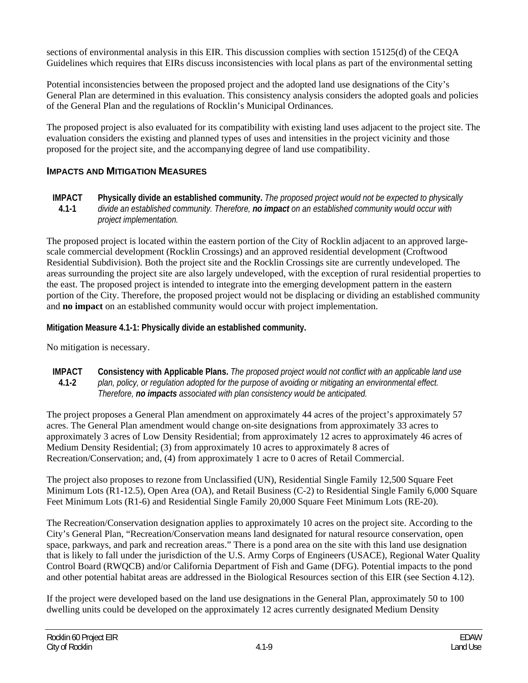sections of environmental analysis in this EIR. This discussion complies with section 15125(d) of the CEQA Guidelines which requires that EIRs discuss inconsistencies with local plans as part of the environmental setting

Potential inconsistencies between the proposed project and the adopted land use designations of the City's General Plan are determined in this evaluation. This consistency analysis considers the adopted goals and policies of the General Plan and the regulations of Rocklin's Municipal Ordinances.

The proposed project is also evaluated for its compatibility with existing land uses adjacent to the project site. The evaluation considers the existing and planned types of uses and intensities in the project vicinity and those proposed for the project site, and the accompanying degree of land use compatibility.

#### **IMPACTS AND MITIGATION MEASURES**

**IMPACT 4.1-1 Physically divide an established community.** *The proposed project would not be expected to physically divide an established community. Therefore, no impact on an established community would occur with project implementation.* 

The proposed project is located within the eastern portion of the City of Rocklin adjacent to an approved largescale commercial development (Rocklin Crossings) and an approved residential development (Croftwood Residential Subdivision). Both the project site and the Rocklin Crossings site are currently undeveloped. The areas surrounding the project site are also largely undeveloped, with the exception of rural residential properties to the east. The proposed project is intended to integrate into the emerging development pattern in the eastern portion of the City. Therefore, the proposed project would not be displacing or dividing an established community and **no impact** on an established community would occur with project implementation.

**Mitigation Measure 4.1-1: Physically divide an established community.** 

No mitigation is necessary.

**IMPACT 4.1-2 Consistency with Applicable Plans.** *The proposed project would not conflict with an applicable land use plan, policy, or regulation adopted for the purpose of avoiding or mitigating an environmental effect. Therefore, no impacts associated with plan consistency would be anticipated.* 

The project proposes a General Plan amendment on approximately 44 acres of the project's approximately 57 acres. The General Plan amendment would change on-site designations from approximately 33 acres to approximately 3 acres of Low Density Residential; from approximately 12 acres to approximately 46 acres of Medium Density Residential; (3) from approximately 10 acres to approximately 8 acres of Recreation/Conservation; and, (4) from approximately 1 acre to 0 acres of Retail Commercial.

The project also proposes to rezone from Unclassified (UN), Residential Single Family 12,500 Square Feet Minimum Lots (R1-12.5), Open Area (OA), and Retail Business (C-2) to Residential Single Family 6,000 Square Feet Minimum Lots (R1-6) and Residential Single Family 20,000 Square Feet Minimum Lots (RE-20).

The Recreation/Conservation designation applies to approximately 10 acres on the project site. According to the City's General Plan, "Recreation/Conservation means land designated for natural resource conservation, open space, parkways, and park and recreation areas." There is a pond area on the site with this land use designation that is likely to fall under the jurisdiction of the U.S. Army Corps of Engineers (USACE), Regional Water Quality Control Board (RWQCB) and/or California Department of Fish and Game (DFG). Potential impacts to the pond and other potential habitat areas are addressed in the Biological Resources section of this EIR (see Section 4.12).

If the project were developed based on the land use designations in the General Plan, approximately 50 to 100 dwelling units could be developed on the approximately 12 acres currently designated Medium Density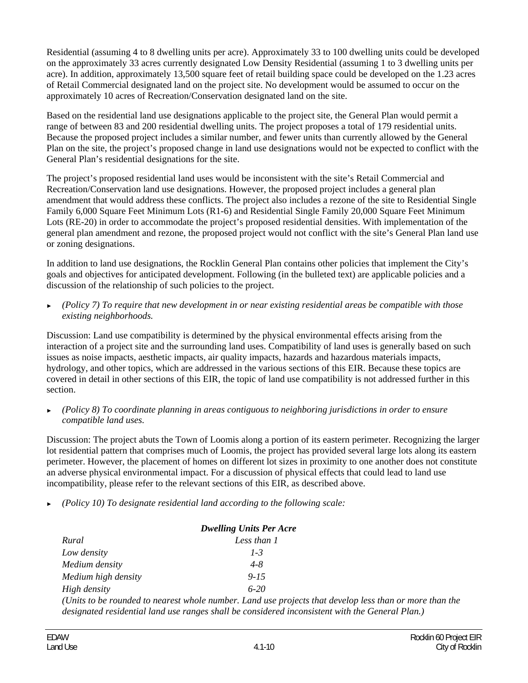Residential (assuming 4 to 8 dwelling units per acre). Approximately 33 to 100 dwelling units could be developed on the approximately 33 acres currently designated Low Density Residential (assuming 1 to 3 dwelling units per acre). In addition, approximately 13,500 square feet of retail building space could be developed on the 1.23 acres of Retail Commercial designated land on the project site. No development would be assumed to occur on the approximately 10 acres of Recreation/Conservation designated land on the site.

Based on the residential land use designations applicable to the project site, the General Plan would permit a range of between 83 and 200 residential dwelling units. The project proposes a total of 179 residential units. Because the proposed project includes a similar number, and fewer units than currently allowed by the General Plan on the site, the project's proposed change in land use designations would not be expected to conflict with the General Plan's residential designations for the site.

The project's proposed residential land uses would be inconsistent with the site's Retail Commercial and Recreation/Conservation land use designations. However, the proposed project includes a general plan amendment that would address these conflicts. The project also includes a rezone of the site to Residential Single Family 6,000 Square Feet Minimum Lots (R1-6) and Residential Single Family 20,000 Square Feet Minimum Lots (RE-20) in order to accommodate the project's proposed residential densities. With implementation of the general plan amendment and rezone, the proposed project would not conflict with the site's General Plan land use or zoning designations.

In addition to land use designations, the Rocklin General Plan contains other policies that implement the City's goals and objectives for anticipated development. Following (in the bulleted text) are applicable policies and a discussion of the relationship of such policies to the project.

► *(Policy 7) To require that new development in or near existing residential areas be compatible with those existing neighborhoods.* 

Discussion: Land use compatibility is determined by the physical environmental effects arising from the interaction of a project site and the surrounding land uses. Compatibility of land uses is generally based on such issues as noise impacts, aesthetic impacts, air quality impacts, hazards and hazardous materials impacts, hydrology, and other topics, which are addressed in the various sections of this EIR. Because these topics are covered in detail in other sections of this EIR, the topic of land use compatibility is not addressed further in this section.

► *(Policy 8) To coordinate planning in areas contiguous to neighboring jurisdictions in order to ensure compatible land uses.* 

Discussion: The project abuts the Town of Loomis along a portion of its eastern perimeter. Recognizing the larger lot residential pattern that comprises much of Loomis, the project has provided several large lots along its eastern perimeter. However, the placement of homes on different lot sizes in proximity to one another does not constitute an adverse physical environmental impact. For a discussion of physical effects that could lead to land use incompatibility, please refer to the relevant sections of this EIR, as described above.

► *(Policy 10) To designate residential land according to the following scale:* 

| <b>Dwelling Units Per Acre</b> |                                                                                                         |
|--------------------------------|---------------------------------------------------------------------------------------------------------|
| Rural                          | Less than 1                                                                                             |
| Low density                    | $1 - 3$                                                                                                 |
| Medium density                 | $4 - 8$                                                                                                 |
| Medium high density            | $9 - 15$                                                                                                |
| High density                   | $6-20$                                                                                                  |
|                                | (Units to be rounded to nearest whole number. Land use projects that develop less than or more than the |
|                                | designated residential land use ranges shall be considered inconsistent with the General Plan.)         |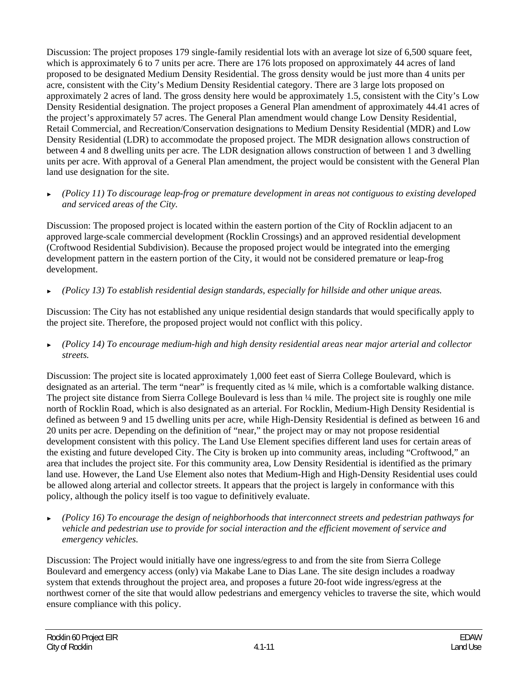Discussion: The project proposes 179 single-family residential lots with an average lot size of 6,500 square feet, which is approximately 6 to 7 units per acre. There are 176 lots proposed on approximately 44 acres of land proposed to be designated Medium Density Residential. The gross density would be just more than 4 units per acre, consistent with the City's Medium Density Residential category. There are 3 large lots proposed on approximately 2 acres of land. The gross density here would be approximately 1.5, consistent with the City's Low Density Residential designation. The project proposes a General Plan amendment of approximately 44.41 acres of the project's approximately 57 acres. The General Plan amendment would change Low Density Residential, Retail Commercial, and Recreation/Conservation designations to Medium Density Residential (MDR) and Low Density Residential (LDR) to accommodate the proposed project. The MDR designation allows construction of between 4 and 8 dwelling units per acre. The LDR designation allows construction of between 1 and 3 dwelling units per acre. With approval of a General Plan amendment, the project would be consistent with the General Plan land use designation for the site.

► *(Policy 11) To discourage leap-frog or premature development in areas not contiguous to existing developed and serviced areas of the City.* 

Discussion: The proposed project is located within the eastern portion of the City of Rocklin adjacent to an approved large-scale commercial development (Rocklin Crossings) and an approved residential development (Croftwood Residential Subdivision). Because the proposed project would be integrated into the emerging development pattern in the eastern portion of the City, it would not be considered premature or leap-frog development.

► *(Policy 13) To establish residential design standards, especially for hillside and other unique areas.* 

Discussion: The City has not established any unique residential design standards that would specifically apply to the project site. Therefore, the proposed project would not conflict with this policy.

► *(Policy 14) To encourage medium-high and high density residential areas near major arterial and collector streets.* 

Discussion: The project site is located approximately 1,000 feet east of Sierra College Boulevard, which is designated as an arterial. The term "near" is frequently cited as  $\frac{1}{4}$  mile, which is a comfortable walking distance. The project site distance from Sierra College Boulevard is less than ¼ mile. The project site is roughly one mile north of Rocklin Road, which is also designated as an arterial. For Rocklin, Medium-High Density Residential is defined as between 9 and 15 dwelling units per acre, while High-Density Residential is defined as between 16 and 20 units per acre. Depending on the definition of "near," the project may or may not propose residential development consistent with this policy. The Land Use Element specifies different land uses for certain areas of the existing and future developed City. The City is broken up into community areas, including "Croftwood," an area that includes the project site. For this community area, Low Density Residential is identified as the primary land use. However, the Land Use Element also notes that Medium-High and High-Density Residential uses could be allowed along arterial and collector streets. It appears that the project is largely in conformance with this policy, although the policy itself is too vague to definitively evaluate.

► *(Policy 16) To encourage the design of neighborhoods that interconnect streets and pedestrian pathways for vehicle and pedestrian use to provide for social interaction and the efficient movement of service and emergency vehicles.* 

Discussion: The Project would initially have one ingress/egress to and from the site from Sierra College Boulevard and emergency access (only) via Makabe Lane to Dias Lane. The site design includes a roadway system that extends throughout the project area, and proposes a future 20-foot wide ingress/egress at the northwest corner of the site that would allow pedestrians and emergency vehicles to traverse the site, which would ensure compliance with this policy.